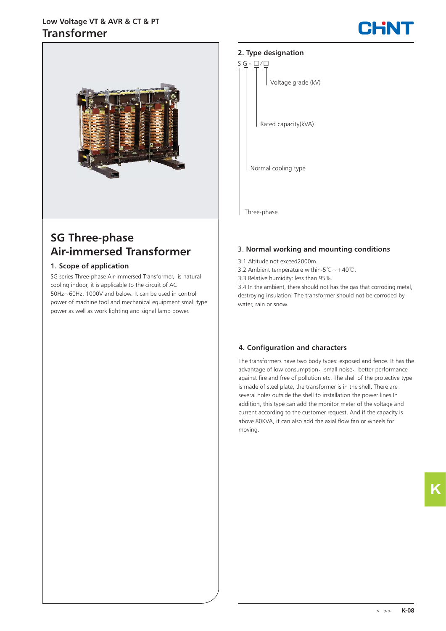# **Transformer Low Voltage VT & AVR & CT & PT**





# **SG Three-phase Air-immersed Transformer**

## **1. Scope of application**

SG series Three-phase Air-immersed Transformer, is natural cooling indoor, it is applicable to the circuit of AC 50Hz~60Hz, 1000V and below. It can be used in control power of machine tool and mechanical equipment small type power as well as work lighting and signal lamp power.

## **2. Type designation**



#### 3. **Normal working and mounting conditions**

- 3.1 Altitude not exceed2000m.
- 3.2 Ambient temperature within-5℃~+40℃.
- 3.3 Relative humidity: less than 95%.

3.4 In the ambient, there should not has the gas that corroding metal, destroying insulation. The transformer should not be corroded by water, rain or snow.

## **4. Configuration and characters**

The transformers have two body types: exposed and fence. It has the advantage of low consumption、small noise、better performance against fire and free of pollution etc. The shell of the protective type is made of steel plate, the transformer is in the shell. There are several holes outside the shell to installation the power lines In addition, this type can add the monitor meter of the voltage and current according to the customer request, And if the capacity is above 80KVA, it can also add the axial flow fan or wheels for moving.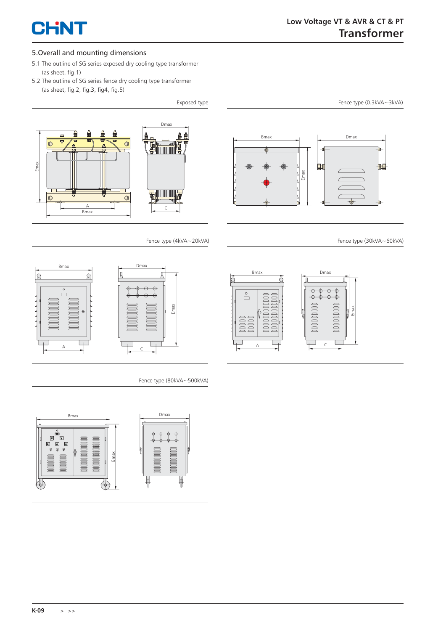

#### 5.Overall and mounting dimensions

- 5.1 The outline of SG series exposed dry cooling type transformer (as sheet, fig.1)
- 5.2 The outline of SG series fence dry cooling type transformer (as sheet, fig.2, fig.3, fig4, fig.5)



Fence type (4kVA~20kVA)



Fence type (80kVA~500kVA)





Fence type (30kVA~60kVA)

Fence type (0.3kVA~3kVA)